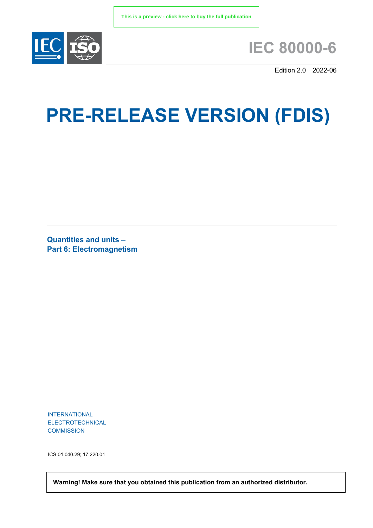

## **IEC 80000-6**

Edition 2.0 2022-06

# **PRE-RELEASE VERSION (FDIS)**

**Quantities and units – Part 6: Electromagnetism**

INTERNATIONAL ELECTROTECHNICAL **COMMISSION** 

ICS 01.040.29; 17.220.01

 **Warning! Make sure that you obtained this publication from an authorized distributor.**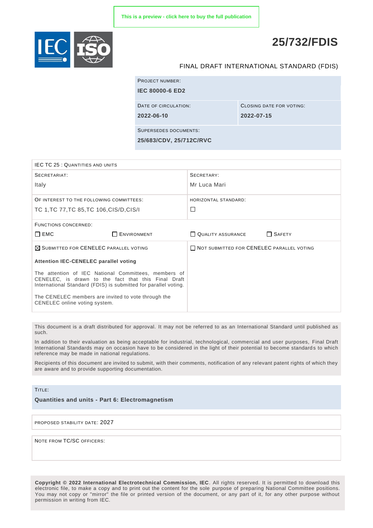

### **25/732/FDIS**

#### FINAL DRAFT INTERNATIONAL STANDARD (FDIS)

| <b>PROJECT NUMBER:</b>       |                          |
|------------------------------|--------------------------|
| <b>IEC 80000-6 ED2</b>       |                          |
|                              |                          |
| DATE OF CIRCULATION:         | CLOSING DATE FOR VOTING: |
| 2022-06-10                   | 2022-07-15               |
|                              |                          |
| <b>SUPERSEDES DOCUMENTS:</b> |                          |
| 25/683/CDV, 25/712C/RVC      |                          |

| <b>IEC TC 25: QUANTITIES AND UNITS</b>                                                                      |                                                                 |                                                  |               |  |
|-------------------------------------------------------------------------------------------------------------|-----------------------------------------------------------------|--------------------------------------------------|---------------|--|
| SECRETARIAT:                                                                                                |                                                                 | SECRETARY:                                       |               |  |
| Italy                                                                                                       |                                                                 | Mr Luca Mari                                     |               |  |
| OF INTEREST TO THE FOLLOWING COMMITTEES:                                                                    |                                                                 | HORIZONTAL STANDARD:                             |               |  |
| TC 1, TC 77, TC 85, TC 106, CIS/D, CIS/I                                                                    |                                                                 | $\Box$                                           |               |  |
| <b>FUNCTIONS CONCERNED:</b>                                                                                 |                                                                 |                                                  |               |  |
| $\Box$ EMC                                                                                                  | ENVIRONMENT                                                     | QUALITY ASSURANCE                                | $\Box$ SAFETY |  |
| $\boxtimes$ SUBMITTED FOR CENELEC PARALLEL VOTING                                                           |                                                                 | <b>NOT SUBMITTED FOR CENELEC PARALLEL VOTING</b> |               |  |
| <b>Attention IEC-CENELEC parallel voting</b>                                                                |                                                                 |                                                  |               |  |
| The attention of IEC National Committees, members of<br>CENELEC, is drawn to the fact that this Final Draft |                                                                 |                                                  |               |  |
|                                                                                                             | International Standard (FDIS) is submitted for parallel voting. |                                                  |               |  |

This document is a draft distributed for approval. It may not be referred to as an International Standard until published as such.

In addition to their evaluation as being acceptable for industrial, technological, commercial and user purposes, Final Draft International Standards may on occasion have to be considered in the light of their potential to become standards to which reference may be made in national regulations.

Recipients of this document are invited to submit, with their comments, notification of any relevant patent rights of which they are aware and to provide supporting documentation.

#### TITLE:

**Quantities and units - Part 6: Electromagnetism**

PROPOSED STABILITY DATE: 2027

NOTE FROM TC/SC OFFICERS:

**Copyright © 2022 International Electrotechnical Commission, IEC**. All rights reserved. It is permitted to download this electronic file, to make a copy and to print out the content for the sole purpose of preparing National Committee positions. You may not copy or "mirror" the file or printed version of the document, or any part of it, for any other purpose without permission in writing from IEC.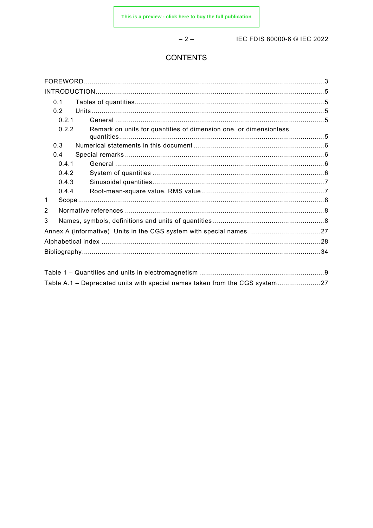$-2-$ 

IEC FDIS 80000-6 © IEC 2022

#### **CONTENTS**

| 0.1            |                                                                           |  |
|----------------|---------------------------------------------------------------------------|--|
| 0.2            |                                                                           |  |
| 0.2.1          |                                                                           |  |
| 0.2.2          | Remark on units for quantities of dimension one, or dimensionless         |  |
| 0.3            |                                                                           |  |
| 0.4            |                                                                           |  |
| 0.4.1          |                                                                           |  |
| 0.4.2          |                                                                           |  |
| 0.4.3          |                                                                           |  |
| 0.4.4          |                                                                           |  |
| 1              |                                                                           |  |
| $\overline{2}$ |                                                                           |  |
| 3              |                                                                           |  |
|                |                                                                           |  |
|                |                                                                           |  |
|                |                                                                           |  |
|                |                                                                           |  |
|                | Table A.1 – Deprecated units with special names taken from the CGS system |  |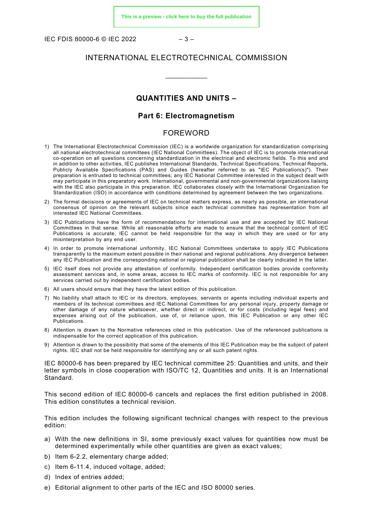IEC FDIS 80000-6 © IEC 2022  $-3-$ 

#### INTERNATIONAL ELECTROTECHNICAL COMMISSION

\_\_\_\_\_\_\_\_\_\_\_\_

#### **QUANTITIES AND UNITS –**

#### **Part 6: Electromagnetism**

#### FOREWORD

- <span id="page-3-0"></span>1) The International Electrotechnical Commission (IEC) is a worldwide organization for standardization comprising all national electrotechnical committees (IEC National Committees). The object of IEC is to promote international co-operation on all questions concerning standardization in the electrical and electronic fields. To this end and in addition to other activities, IEC publishes International Standards, Technical Specifications, Technical Reports, Publicly Available Specifications (PAS) and Guides (hereafter referred to as "IEC Publication(s)"). Their preparation is entrusted to technical committees; any IEC National Committee interested in the subject dealt with may participate in this preparatory work. International, governmental and non-governmental organizations liaising with the IEC also participate in this preparation. IEC collaborates closely with the International Organization for Standardization (ISO) in accordance with conditions determined by agreement between the two organizations.
- 2) The formal decisions or agreements of IEC on technical matters express, as nearly as possible, an international consensus of opinion on the relevant subjects since each technical committee has representation from all interested IEC National Committees.
- 3) IEC Publications have the form of recommendations for international use and are accepted by IEC National Committees in that sense. While all reasonable efforts are made to ensure that the technical content of IEC Publications is accurate, IEC cannot be held responsible for the way in which they are used or for any misinterpretation by any end user.
- 4) In order to promote international uniformity, IEC National Committees undertake to apply IEC Publications transparently to the maximum extent possible in their national and regional publications. Any divergence between any IEC Publication and the corresponding national or regional publication shall be clearly indicated in the latter.
- 5) IEC itself does not provide any attestation of conformity. Independent certification bodies provide conformity assessment services and, in some areas, access to IEC marks of conformity. IEC is not responsible for any services carried out by independent certification bodies.
- 6) All users should ensure that they have the latest edition of this publication.
- 7) No liability shall attach to IEC or its directors, employees, servants or agents including individual experts and members of its technical committees and IEC National Committees for any personal injury, property damage or other damage of any nature whatsoever, whether direct or indirect, or for costs (including legal fees) and expenses arising out of the publication, use of, or reliance upon, this IEC Publication or any other IEC Publications.
- 8) Attention is drawn to the Normative references cited in this publication. Use of the referenced publications is indispensable for the correct application of this publication.
- 9) Attention is drawn to the possibility that some of the elements of this IEC Publication may be the subject of patent rights. IEC shall not be held responsible for identifying any or all such patent rights.

IEC 80000-6 has been prepared by IEC technical committee 25: Quantities and units, and their letter symbols in close cooperation with ISO/TC 12, Quantities and units. It is an International Standard.

This second edition of IEC 80000-6 cancels and replaces the first edition published in 2008. This edition constitutes a technical revision.

This edition includes the following significant technical changes with respect to the previous edition:

- a) With the new definitions in SI, some previously exact values for quantities now must be determined experimentally while other quantities are given as exact values;
- b) Item 6-2.2, elementary charge added;
- c) Item 6-11.4, induced voltage, added;
- d) Index of entries added;
- e) Editorial alignment to other parts of the IEC and ISO 80000 series.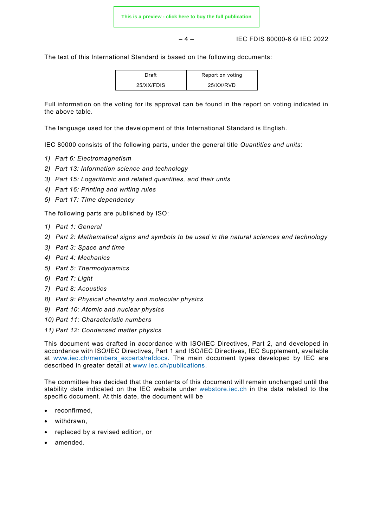– 4 – IEC FDIS 80000-6 © IEC 2022

The text of this International Standard is based on the following documents:

| Draft      | Report on voting |
|------------|------------------|
| 25/XX/FDIS | 25/XX/RVD        |

Full information on the voting for its approval can be found in the report on voting indicated in the above table.

The language used for the development of this International Standard is English.

IEC 80000 consists of the following parts, under the general title *Quantities and units*:

- *1) Part 6: Electromagnetism*
- *2) Part 13: Information science and technology*
- *3) Part 15: Logarithmic and related quantities, and their units*
- *4) Part 16: Printing and writing rules*
- *5) Part 17: Time dependency*

The following parts are published by ISO:

- *1) Part 1: General*
- *2) Part 2: Mathematical signs and symbols to be used in the natural sciences and technology*
- *3) Part 3: Space and time*
- *4) Part 4: Mechanics*
- *5) Part 5: Thermodynamics*
- *6) Part 7: Light*
- *7) Part 8: Acoustics*
- *8) Part 9: Physical chemistry and molecular physics*
- *9) Part 10: Atomic and nuclear physics*
- *10) Part 11: Characteristic numbers*
- *11) Part 12: Condensed matter physics*

This document was drafted in accordance with ISO/IEC Directives, Part 2, and developed in accordance with ISO/IEC Directives, Part 1 and ISO/IEC Directives, IEC Supplement, available at www.iec.ch/members experts/refdocs. The main document types developed by IEC are described in greater detail at [www.iec.ch/publications.](https://www.iec.ch/publications)

The committee has decided that the contents of this document will remain unchanged until the stability date indicated on the IEC website under [webstore.iec.ch](https://webstore.iec.ch/?ref=menu) in the data related to the specific document. At this date, the document will be

- reconfirmed,
- withdrawn,
- replaced by a revised edition, or
- amended.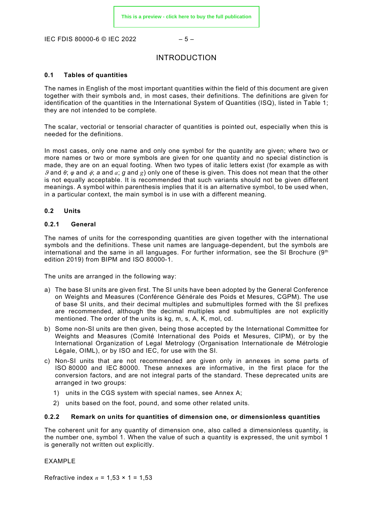<span id="page-5-0"></span>IEC FDIS 80000-6 © IEC 2022 – 5 –

#### INTRODUCTION

#### <span id="page-5-1"></span>**0.1 Tables of quantities**

The names in English of the most important quantities within the field of this document are given together with their symbols and, in most cases, their definitions. The definitions are given for identification of the quantities in the International System of Quantities (ISQ), listed in Table 1; they are not intended to be complete.

The scalar, vectorial or tensorial character of quantities is pointed out, especially when this is needed for the definitions.

In most cases, only one name and only one symbol for the quantity are given; where two or more names or two or more symbols are given for one quantity and no special distinction is made, they are on an equal footing. When two types of italic letters exist (for example as with ϑ and *θ*; *φ* and φ; *a* and *a*; *g* and *g*) only one of these is given. This does not mean that the other is not equally acceptable. It is recommended that such variants should not be given different meanings. A symbol within parenthesis implies that it is an alternative symbol, to be used when, in a particular context, the main symbol is in use with a different meaning.

#### <span id="page-5-2"></span>**0.2 Units**

#### <span id="page-5-3"></span>**0.2.1 General**

The names of units for the corresponding quantities are given together with the international symbols and the definitions. These unit names are language-dependent, but the symbols are international and the same in all languages. For further information, see the SI Brochure (9th edition 2019) from BIPM and ISO 80000-1.

The units are arranged in the following way:

- a) The base SI units are given first. The SI units have been adopted by the General Conference on Weights and Measures (Conférence Générale des Poids et Mesures, CGPM). The use of base SI units, and their decimal multiples and submultiples formed with the SI prefixes are recommended, although the decimal multiples and submultiples are not explicitly mentioned. The order of the units is kg, m, s, A, K, mol, cd.
- b) Some non-SI units are then given, being those accepted by the International Committee for Weights and Measures (Comité International des Poids et Mesures, CIPM), or by the International Organization of Legal Metrology (Organisation Internationale de Métrologie Légale, OIML), or by ISO and IEC, for use with the SI.
- c) Non-SI units that are not recommended are given only in annexes in some parts of ISO 80000 and IEC 80000. These annexes are informative, in the first place for the conversion factors, and are not integral parts of the standard. These deprecated units are arranged in two groups:
	- 1) units in the CGS system with special names, see Annex A;
	- 2) units based on the foot, pound, and some other related units.

#### <span id="page-5-4"></span>**0.2.2 Remark on units for quantities of dimension one, or dimensionless quantities**

The coherent unit for any quantity of dimension one, also called a dimensionless quantity, is the number one, symbol 1. When the value of such a quantity is expressed, the unit symbol 1 is generally not written out explicitly.

EXAMPLE

Refractive index *n* = 1,53 × 1 = 1,53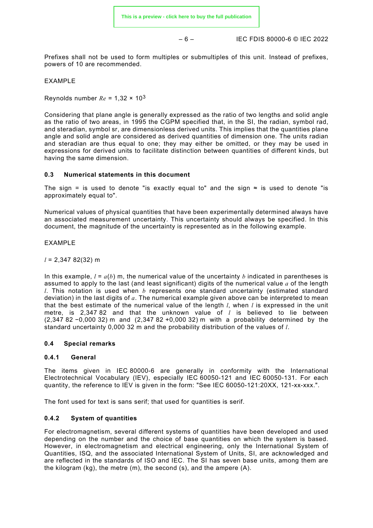– 6 – IEC FDIS 80000-6 © IEC 2022

Prefixes shall not be used to form multiples or submultiples of this unit. Instead of prefixes, powers of 10 are recommended.

#### EXAMPLE

Reynolds number  $Re = 1,32 \times 10^3$ 

Considering that plane angle is generally expressed as the ratio of two lengths and solid angle as the ratio of two areas, in 1995 the CGPM specified that, in the SI, the radian, symbol rad, and steradian, symbol sr, are dimensionless derived units. This implies that the quantities plane angle and solid angle are considered as derived quantities of dimension one. The units radian and steradian are thus equal to one; they may either be omitted, or they may be used in expressions for derived units to facilitate distinction between quantities of different kinds, but having the same dimension.

#### <span id="page-6-0"></span>**0.3 Numerical statements in this document**

The sign = is used to denote "is exactly equal to" and the sign  $\approx$  is used to denote "is approximately equal to".

Numerical values of physical quantities that have been experimentally determined always have an associated measurement uncertainty. This uncertainty should always be specified. In this document, the magnitude of the uncertainty is represented as in the following example.

#### EXAMPLE

*l* = 2,347 82(32) m

In this example,  $l = a(b)$  m, the numerical value of the uncertainty *b* indicated in parentheses is assumed to apply to the last (and least significant) digits of the numerical value *a* of the length *l*. This notation is used when *b* represents one standard uncertainty (estimated standard deviation) in the last digits of *a*. The numerical example given above can be interpreted to mean that the best estimate of the numerical value of the length *l*, when *l* is expressed in the unit metre, is 2,347 82 and that the unknown value of *l* is believed to lie between (2,347 82 −0,000 32) m and (2,347 82 +0,000 32) m with a probability determined by the standard uncertainty 0,000 32 m and the probability distribution of the values of *l*.

#### <span id="page-6-1"></span>**0.4 Special remarks**

#### <span id="page-6-2"></span>**0.4.1 General**

The items given in IEC 80000-6 are generally in conformity with the International Electrotechnical Vocabulary (IEV), especially IEC 60050-121 and IEC 60050-131. For each quantity, the reference to IEV is given in the form: "See IEC 60050-121:20XX, 121-xx-xxx.".

The font used for text is sans serif; that used for quantities is serif.

#### <span id="page-6-3"></span>**0.4.2 System of quantities**

For electromagnetism, several different systems of quantities have been developed and used depending on the number and the choice of base quantities on which the system is based. However, in electromagnetism and electrical engineering, only the International System of Quantities, ISQ, and the associated International System of Units, SI, are acknowledged and are reflected in the standards of ISO and IEC. The SI has seven base units, among them are the kilogram  $(kq)$ , the metre  $(m)$ , the second  $(s)$ , and the ampere  $(A)$ .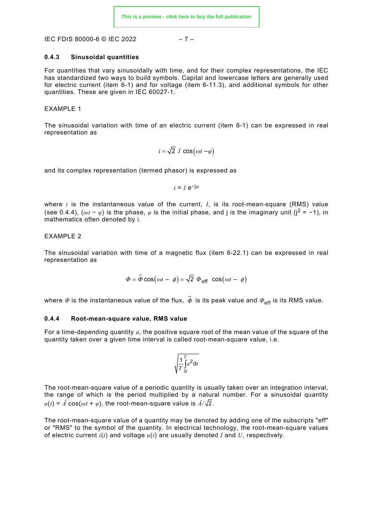IEC FDIS 80000-6 © IEC 2022 – 7 –

#### <span id="page-7-0"></span>**0.4.3 Sinusoidal quantities**

For quantities that vary sinusoidally with time, and for their complex representations, the IEC has standardized two ways to build symbols. Capital and lowercase letters are generally used for electric current (item 6-1) and for voltage (item 6-11.3), and additional symbols for other quantities. These are given in IEC 60027-1.

#### EXAMPLE 1

The sinusoidal variation with time of an electric current (item 6-1) can be expressed in real representation as

$$
i = \sqrt{2} I \cos(\omega t - \varphi)
$$

and its complex representation (termed phasor) is expressed as

$$
i=I\,\text{e}^{-\text{j}\varphi}
$$

where *i* is the instantaneous value of the current, *I*, is its root-mean-square (RMS) value (see [0.4.4\)](#page-7-1), ( $\omega t - \varphi$ ) is the phase,  $\varphi$  is the initial phase, and j is the imaginary unit (j<sup>2</sup> = -1), in mathematics often denoted by i.

#### EXAMPLE 2

The sinusoidal variation with time of a magnetic flux (item 6-22.1) can be expressed in real representation as

$$
\Phi = \widehat{\Phi} \cos(\omega t - \phi) = \sqrt{2} \Phi_{\text{eff}} \cos(\omega t - \phi)
$$

where  $\Phi$  is the instantaneous value of the flux,  $\hat{\Phi}$  is its peak value and  $\Phi_{\text{eff}}$  is its RMS value.

#### <span id="page-7-1"></span>**0.4.4 Root-mean-square value, RMS value**

For a time-depending quantity *a*, the positive square root of the mean value of the square of the quantity taken over a given time interval is called root-mean-square value, i.e.

$$
\sqrt{\frac{1}{T}\int_{0}^{T} a^2 dt}
$$

The root-mean-square value of a periodic quantity is usually taken over an integration interval, the range of which is the period multiplied by a natural number. For a sinusoidal quantity  $a(t) = \hat{A} \cos(\omega t + \varphi)$ , the root-mean-square value is  $\hat{A}/\sqrt{2}$ .

The root-mean-square value of a quantity may be denoted by adding one of the subscripts "eff" or "RMS" to the symbol of the quantity. In electrical technology, the root-mean-square values of electric current *i*(*t*) and voltage *u*(*t*) are usually denoted *I* and *U*, respectively.